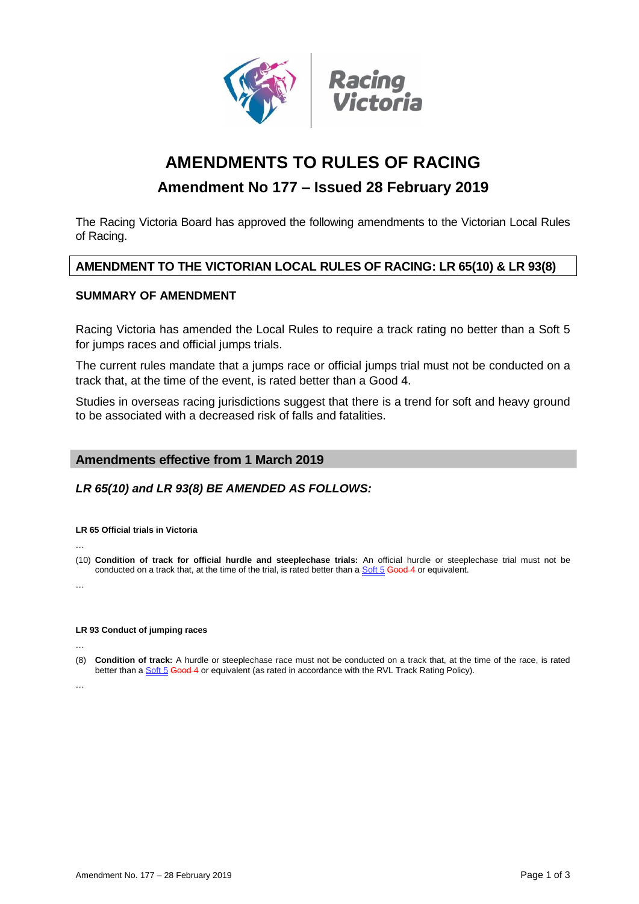

# **AMENDMENTS TO RULES OF RACING**

# **Amendment No 177 – Issued 28 February 2019**

The Racing Victoria Board has approved the following amendments to the Victorian Local Rules of Racing.

# **AMENDMENT TO THE VICTORIAN LOCAL RULES OF RACING: LR 65(10) & LR 93(8)**

## **SUMMARY OF AMENDMENT**

Racing Victoria has amended the Local Rules to require a track rating no better than a Soft 5 for jumps races and official jumps trials.

The current rules mandate that a jumps race or official jumps trial must not be conducted on a track that, at the time of the event, is rated better than a Good 4.

Studies in overseas racing jurisdictions suggest that there is a trend for soft and heavy ground to be associated with a decreased risk of falls and fatalities.

# **Amendments effective from 1 March 2019**

# *LR 65(10) and LR 93(8) BE AMENDED AS FOLLOWS:*

#### **LR 65 Official trials in Victoria**

…

(10) **Condition of track for official hurdle and steeplechase trials:** An official hurdle or steeplechase trial must not be conducted on a track that, at the time of the trial, is rated better than a Soft 5 Good 4 or equivalent.

…

#### **LR 93 Conduct of jumping races**

…

(8) **Condition of track:** A hurdle or steeplechase race must not be conducted on a track that, at the time of the race, is rated better than a Soft 5 Good 4 or equivalent (as rated in accordance with the RVL Track Rating Policy).

…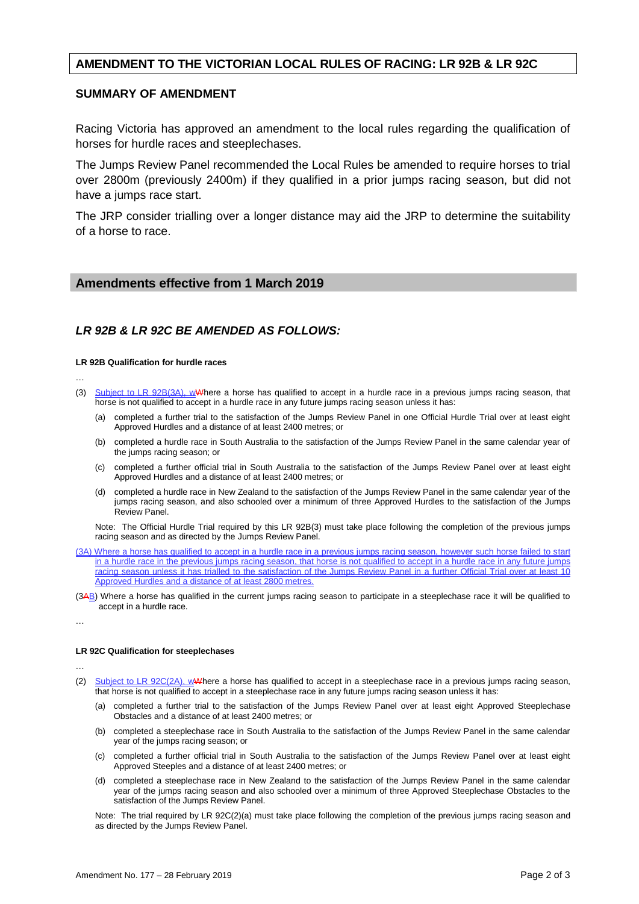### **AMENDMENT TO THE VICTORIAN LOCAL RULES OF RACING: LR 92B & LR 92C**

#### **SUMMARY OF AMENDMENT**

Racing Victoria has approved an amendment to the local rules regarding the qualification of horses for hurdle races and steeplechases.

The Jumps Review Panel recommended the Local Rules be amended to require horses to trial over 2800m (previously 2400m) if they qualified in a prior jumps racing season, but did not have a jumps race start.

The JRP consider trialling over a longer distance may aid the JRP to determine the suitability of a horse to race.

### **Amendments effective from 1 March 2019**

# *LR 92B & LR 92C BE AMENDED AS FOLLOWS:*

#### **LR 92B Qualification for hurdle races**

- …
- (3) Subject to LR 92B(3A), wWhere a horse has qualified to accept in a hurdle race in a previous jumps racing season, that horse is not qualified to accept in a hurdle race in any future jumps racing season unless it has:
	- (a) completed a further trial to the satisfaction of the Jumps Review Panel in one Official Hurdle Trial over at least eight Approved Hurdles and a distance of at least 2400 metres; or
	- (b) completed a hurdle race in South Australia to the satisfaction of the Jumps Review Panel in the same calendar year of the jumps racing season; or
	- (c) completed a further official trial in South Australia to the satisfaction of the Jumps Review Panel over at least eight Approved Hurdles and a distance of at least 2400 metres; or
	- (d) completed a hurdle race in New Zealand to the satisfaction of the Jumps Review Panel in the same calendar year of the jumps racing season, and also schooled over a minimum of three Approved Hurdles to the satisfaction of the Jumps Review Panel.

Note: The Official Hurdle Trial required by this LR 92B(3) must take place following the completion of the previous jumps racing season and as directed by the Jumps Review Panel.

- (3A) Where a horse has qualified to accept in a hurdle race in a previous jumps racing season, however such horse failed to start in a hurdle race in the previous jumps racing season, that horse is not qualified to accept in a hurdle race in any future jumps racing season unless it has trialled to the satisfaction of the Jumps Review Panel in a further Official Trial over at least 10 Approved Hurdles and a distance of at least 2800 metres.
- (3AB) Where a horse has qualified in the current jumps racing season to participate in a steeplechase race it will be qualified to accept in a hurdle race.

…

#### **LR 92C Qualification for steeplechases**

…

- (2) Subject to LR 92C(2A), wWhere a horse has qualified to accept in a steeplechase race in a previous jumps racing season, that horse is not qualified to accept in a steeplechase race in any future jumps racing season unless it has:
	- (a) completed a further trial to the satisfaction of the Jumps Review Panel over at least eight Approved Steeplechase Obstacles and a distance of at least 2400 metres; or
	- (b) completed a steeplechase race in South Australia to the satisfaction of the Jumps Review Panel in the same calendar year of the jumps racing season; or
	- (c) completed a further official trial in South Australia to the satisfaction of the Jumps Review Panel over at least eight Approved Steeples and a distance of at least 2400 metres; or
	- (d) completed a steeplechase race in New Zealand to the satisfaction of the Jumps Review Panel in the same calendar year of the jumps racing season and also schooled over a minimum of three Approved Steeplechase Obstacles to the satisfaction of the Jumps Review Panel.

Note: The trial required by LR 92C(2)(a) must take place following the completion of the previous jumps racing season and as directed by the Jumps Review Panel.